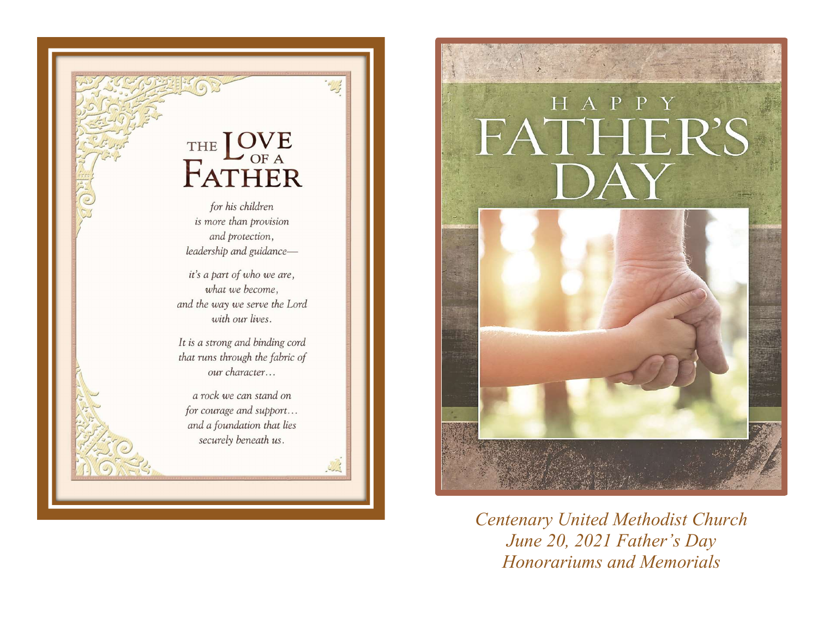

## HAPPY FATHER'S JAY



Centenary United Methodist Church June 20, 2021 Father's Day Honorariums and Memorials